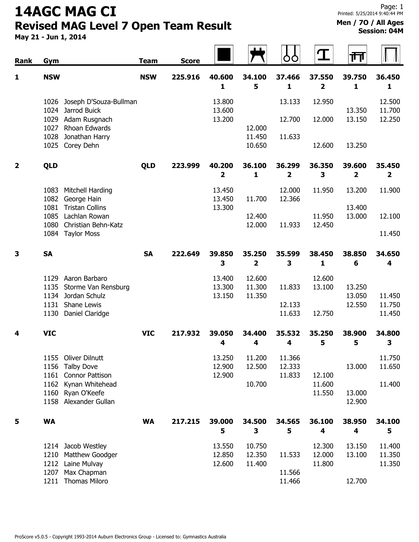## 14AGC MAG CI Revised MAG Level 7 Open Team Result

May 21 - Jun 1, 2014

Men / 7O / All Ages Session: 04M

| Rank                    | Gym          |                                 | <b>Team</b> | <b>Score</b> |                         |                         | ბბ          | T                | गि                      |                         |
|-------------------------|--------------|---------------------------------|-------------|--------------|-------------------------|-------------------------|-------------|------------------|-------------------------|-------------------------|
| $\mathbf{1}$            | <b>NSW</b>   |                                 | <b>NSW</b>  | 225.916      | 40.600                  | 34.100                  | 37.466      | 37.550           | 39.750                  | 36.450                  |
|                         |              |                                 |             |              | 1                       | 5                       | 1           | $\mathbf{2}$     | 1                       | 1                       |
|                         | 1026         | Joseph D'Souza-Bullman          |             |              | 13.800                  |                         | 13.133      | 12.950           |                         | 12.500                  |
|                         | 1024         | Jarrod Buick                    |             |              | 13.600                  |                         |             |                  | 13.350                  | 11.700                  |
|                         | 1029         | Adam Rusgnach                   |             |              | 13.200                  |                         | 12.700      | 12.000           | 13.150                  | 12.250                  |
|                         | 1027<br>1028 | Rhoan Edwards<br>Jonathan Harry |             |              |                         | 12.000<br>11.450        | 11.633      |                  |                         |                         |
|                         |              | 1025 Corey Dehn                 |             |              |                         | 10.650                  |             | 12.600           | 13.250                  |                         |
| $\overline{\mathbf{2}}$ | QLD          |                                 | <b>QLD</b>  | 223.999      | 40.200                  | 36.100                  | 36.299      | 36.350           | 39.600                  | 35.450                  |
|                         |              |                                 |             |              | $\overline{\mathbf{2}}$ | 1                       | 2           | 3                | $\overline{\mathbf{2}}$ | $\overline{\mathbf{2}}$ |
|                         |              | 1083 Mitchell Harding           |             |              | 13.450                  |                         | 12.000      | 11.950           | 13.200                  | 11.900                  |
|                         |              | 1082 George Hain                |             |              | 13.450                  | 11.700                  | 12.366      |                  |                         |                         |
|                         | 1081         | <b>Tristan Collins</b>          |             |              | 13.300                  |                         |             |                  | 13.400                  |                         |
|                         | 1085         | Lachlan Rowan                   |             |              |                         | 12.400                  |             | 11.950           | 13.000                  | 12.100                  |
|                         | 1080         | Christian Behn-Katz             |             |              |                         | 12.000                  | 11.933      | 12.450           |                         | 11.450                  |
|                         |              | 1084 Taylor Moss                |             |              |                         |                         |             |                  |                         |                         |
| $\overline{\mathbf{3}}$ | <b>SA</b>    |                                 | <b>SA</b>   | 222.649      | 39.850                  | 35.250                  | 35.599      | 38.450           | 38.850                  | 34.650                  |
|                         |              |                                 |             |              | 3                       | $\overline{\mathbf{2}}$ | 3           | 1                | 6                       | 4                       |
|                         | 1129         | Aaron Barbaro                   |             |              | 13.400                  | 12.600                  |             | 12.600           |                         |                         |
|                         | 1135         | Storme Van Rensburg             |             |              | 13.300                  | 11.300                  | 11.833      | 13.100           | 13.250                  |                         |
|                         |              | 1134 Jordan Schulz              |             |              | 13.150                  | 11.350                  |             |                  | 13.050                  | 11.450                  |
|                         | 1131         | Shane Lewis                     |             |              |                         |                         | 12.133      |                  | 12.550                  | 11.750                  |
|                         | 1130         | Daniel Claridge                 |             |              |                         |                         | 11.633      | 12.750           |                         | 11.450                  |
| 4                       | <b>VIC</b>   |                                 | <b>VIC</b>  | 217.932      | 39.050                  | 34.400                  | 35.532      | 35.250           | 38.900                  | 34.800                  |
|                         |              |                                 |             |              | 4                       | 4                       | 4           | 5                | 5                       | 3                       |
|                         |              | 1155 Oliver Dilnutt             |             |              | 13.250                  | 11.200                  | 11.366      |                  |                         | 11.750                  |
|                         |              | 1156 Talby Dove                 |             |              | 12.900                  | 12.500                  | 12.333      |                  | 13.000                  | 11.650                  |
|                         |              | 1161 Connor Pattison            |             |              | 12.900                  |                         | 11.833      | 12.100           |                         |                         |
|                         | 1162<br>1160 | Kynan Whitehead<br>Ryan O'Keefe |             |              |                         | 10.700                  |             | 11.600<br>11.550 | 13.000                  | 11.400                  |
|                         |              | 1158 Alexander Gullan           |             |              |                         |                         |             |                  | 12.900                  |                         |
|                         |              |                                 |             |              |                         |                         |             |                  |                         |                         |
| 5                       | <b>WA</b>    |                                 | <b>WA</b>   | 217.215      | 39.000<br>5             | 34.500<br>3             | 34.565<br>5 | 36.100<br>4      | 38.950<br>4             | 34.100<br>5             |
|                         |              | 1214 Jacob Westley              |             |              | 13.550                  | 10.750                  |             | 12.300           | 13.150                  | 11.400                  |
|                         | 1210         | Matthew Goodger                 |             |              | 12.850                  | 12.350                  | 11.533      | 12.000           | 13.100                  | 11.350                  |
|                         | 1212         | Laine Mulvay                    |             |              | 12.600                  | 11.400                  |             | 11.800           |                         | 11.350                  |
|                         | 1207         | Max Chapman                     |             |              |                         |                         | 11.566      |                  |                         |                         |
|                         | 1211         | <b>Thomas Miloro</b>            |             |              |                         |                         | 11.466      |                  | 12.700                  |                         |